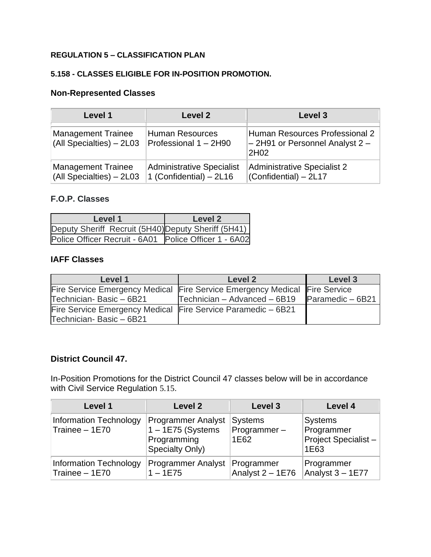## **REGULATION 5 – CLASSIFICATION PLAN**

## **5.158 - CLASSES ELIGIBLE FOR IN-POSITION PROMOTION.**

## **Non-Represented Classes**

| Level 1                                               | Level 2                                                     | Level 3                                                                                    |
|-------------------------------------------------------|-------------------------------------------------------------|--------------------------------------------------------------------------------------------|
| <b>Management Trainee</b><br>(All Specialties) - 2L03 | <b>Human Resources</b><br>Professional 1 - 2H90             | Human Resources Professional 2<br>$-$ 2H91 or Personnel Analyst 2 $-$<br>2H <sub>0</sub> 2 |
| <b>Management Trainee</b><br>(All Specialties) - 2L03 | <b>Administrative Specialist</b><br>1 (Confidential) - 2L16 | <b>Administrative Specialist 2</b><br>(Confidential) - 2L17                                |

## **F.O.P. Classes**

| Level 1                                               | Level 2 |
|-------------------------------------------------------|---------|
| Deputy Sheriff Recruit (5H40) Deputy Sheriff (5H41)   |         |
| Police Officer Recruit - 6A01 Police Officer 1 - 6A02 |         |

## **IAFF Classes**

| Level 1                                                      | Level 2                                                                    | Level 3           |
|--------------------------------------------------------------|----------------------------------------------------------------------------|-------------------|
|                                                              | Fire Service Emergency Medical Fire Service Emergency Medical Fire Service |                   |
| Technician-Basic - 6B21                                      | Technician - Advanced - 6B19                                               | Paramedic $-6B21$ |
| Fire Service Emergency Medical Fire Service Paramedic - 6B21 |                                                                            |                   |
| Technician-Basic - 6B21                                      |                                                                            |                   |

## **District Council 47.**

In-Position Promotions for the District Council 47 classes below will be in accordance with Civil Service Regulation [5.15](http://personnel-web.phila.gov/webregs/?reg=5#reg.5.15).

| Level 1                                          | Level 2                                                                            | Level 3                               | Level 4                                                        |
|--------------------------------------------------|------------------------------------------------------------------------------------|---------------------------------------|----------------------------------------------------------------|
| <b>Information Technology</b><br>Trainee $-1E70$ | <b>Programmer Analyst</b><br>$1 - 1E75$ (Systems<br>Programming<br>Specialty Only) | <b>Systems</b><br>Programmer-<br>1E62 | <b>Systems</b><br>Programmer<br>Project Specialist $-$<br>1E63 |
| <b>Information Technology</b><br>Trainee $-1E70$ | <b>Programmer Analyst</b><br>$1 - 1E75$                                            | Programmer<br>Analyst 2 - 1E76        | Programmer<br>Analyst $3 - 1E77$                               |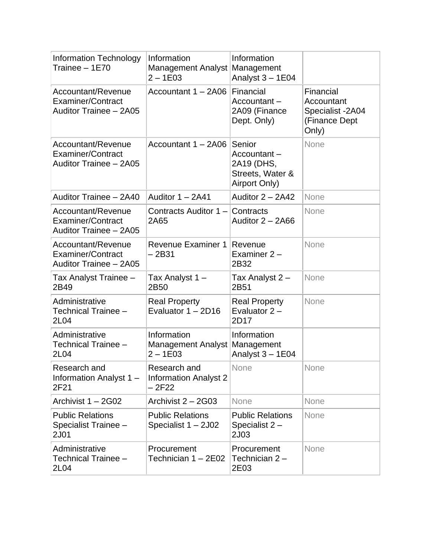| <b>Information Technology</b><br>Trainee - 1E70                                 | Information<br>Management Analyst Management<br>$2 - 1E03$ | Information<br>Analyst $3 - 1E04$                                        |                                                                       |
|---------------------------------------------------------------------------------|------------------------------------------------------------|--------------------------------------------------------------------------|-----------------------------------------------------------------------|
| Accountant/Revenue<br><b>Examiner/Contract</b><br>Auditor Trainee - 2A05        | Accountant 1 - 2A06                                        | Financial<br>Accountant-<br>2A09 (Finance<br>Dept. Only)                 | Financial<br>Accountant<br>Specialist -2A04<br>(Finance Dept<br>Only) |
| Accountant/Revenue<br><b>Examiner/Contract</b><br>Auditor Trainee - 2A05        | Accountant 1 - 2A06                                        | Senior<br>Accountant-<br>2A19 (DHS,<br>Streets, Water &<br>Airport Only) | None                                                                  |
| Auditor Trainee - 2A40                                                          | Auditor $1 - 2A41$                                         | Auditor $2 - 2A42$                                                       | None                                                                  |
| Accountant/Revenue<br><b>Examiner/Contract</b><br>Auditor Trainee - 2A05        | Contracts Auditor 1 – Contracts<br>2A65                    | Auditor $2 - 2A66$                                                       | None                                                                  |
| <b>Accountant/Revenue</b><br><b>Examiner/Contract</b><br>Auditor Trainee - 2A05 | <b>Revenue Examiner 1</b><br>$-2B31$                       | Revenue<br>Examiner $2 -$<br>2B32                                        | None                                                                  |
| Tax Analyst Trainee -<br>2B49                                                   | Tax Analyst 1 -<br>2B50                                    | Tax Analyst 2 -<br>2B51                                                  | None                                                                  |
| Administrative<br>Technical Trainee -<br>2L04                                   | <b>Real Property</b><br>Evaluator $1 - 2D16$               | <b>Real Property</b><br>Evaluator $2 -$<br>2D17                          | None                                                                  |
| Administrative<br>Technical Trainee -<br>2L04                                   | Information<br>Management Analyst Management<br>$2 - 1E03$ | Information<br>Analyst 3 - 1E04                                          |                                                                       |
| Research and<br>Information Analyst 1 -<br>2F21                                 | Research and<br><b>Information Analyst 2</b><br>$-2F22$    | None                                                                     | None                                                                  |
| Archivist 1 - 2G02                                                              | Archivist 2 - 2G03                                         | None                                                                     | None                                                                  |
| <b>Public Relations</b><br>Specialist Trainee -<br>2J01                         | <b>Public Relations</b><br>Specialist 1 - 2J02             | <b>Public Relations</b><br>Specialist $2 -$<br>2J03                      | None                                                                  |
| Administrative<br>Technical Trainee -<br>2L04                                   | Procurement<br>Technician 1 - 2E02                         | Procurement<br>Technician 2-<br>2E03                                     | None                                                                  |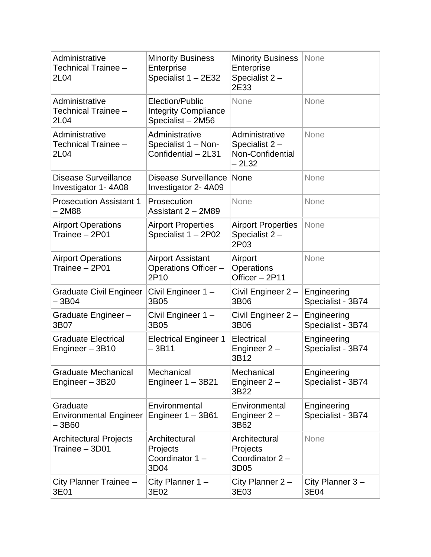| Administrative<br>Technical Trainee -<br>2L04       | <b>Minority Business</b><br>Enterprise<br>Specialist 1 - 2E32       | <b>Minority Business</b><br>Enterprise<br>Specialist 2-<br>2E33 | None                             |
|-----------------------------------------------------|---------------------------------------------------------------------|-----------------------------------------------------------------|----------------------------------|
| Administrative<br>Technical Trainee -<br>2L04       | Election/Public<br><b>Integrity Compliance</b><br>Specialist - 2M56 | None                                                            | None                             |
| Administrative<br>Technical Trainee -<br>2L04       | Administrative<br>Specialist 1 - Non-<br>Confidential - 2L31        | Administrative<br>Specialist 2-<br>Non-Confidential<br>$-2L32$  | None                             |
| <b>Disease Surveillance</b><br>Investigator 1-4A08  | <b>Disease Surveillance</b><br>Investigator 2-4A09                  | None                                                            | None                             |
| <b>Prosecution Assistant 1</b><br>2M88              | Prosecution<br>Assistant 2 - 2M89                                   | None                                                            | None                             |
| <b>Airport Operations</b><br>Trainee - 2P01         | <b>Airport Properties</b><br>Specialist 1 - 2P02                    | <b>Airport Properties</b><br>Specialist 2-<br>2P03              | None                             |
| <b>Airport Operations</b><br>Trainee - 2P01         | <b>Airport Assistant</b><br>Operations Officer -<br>2P10            | Airport<br>Operations<br>Officer - 2P11                         | None                             |
| <b>Graduate Civil Engineer</b><br>$-3B04$           | Civil Engineer 1 -<br>3B05                                          | Civil Engineer 2 -<br>3B06                                      | Engineering<br>Specialist - 3B74 |
| Graduate Engineer -<br>3B07                         | Civil Engineer 1 -<br>3B05                                          | Civil Engineer 2 -<br>3B06                                      | Engineering<br>Specialist - 3B74 |
| <b>Graduate Electrical</b><br>Engineer - 3B10       | <b>Electrical Engineer 1</b><br>$-3B11$                             | Electrical<br>Engineer $2 -$<br>3B12                            | Engineering<br>Specialist - 3B74 |
| <b>Graduate Mechanical</b><br>Engineer - 3B20       | Mechanical<br>Engineer 1 - 3B21                                     | Mechanical<br>Engineer $2 -$<br>3B22                            | Engineering<br>Specialist - 3B74 |
| Graduate<br><b>Environmental Engineer</b><br>– 3B60 | Environmental<br>Engineer $1 - 3B61$                                | Environmental<br>Engineer $2 -$<br>3B62                         | Engineering<br>Specialist - 3B74 |
| <b>Architectural Projects</b><br>Trainee - 3D01     | Architectural<br>Projects<br>Coordinator 1-<br>3D04                 | Architectural<br>Projects<br>Coordinator 2-<br>3D05             | None                             |
| City Planner Trainee -<br>3E01                      | City Planner 1 -<br>3E02                                            | City Planner 2 -<br>3E03                                        | City Planner 3-<br>3E04          |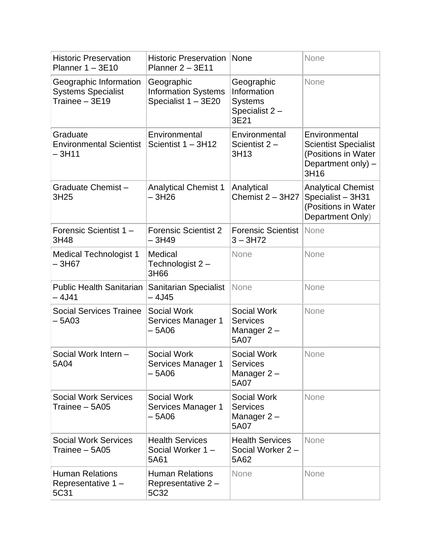| <b>Historic Preservation</b><br>Planner $1 - 3E10$                    | <b>Historic Preservation</b><br>Planner $2 - 3E11$              | None                                                                 | None                                                                                              |
|-----------------------------------------------------------------------|-----------------------------------------------------------------|----------------------------------------------------------------------|---------------------------------------------------------------------------------------------------|
| Geographic Information<br><b>Systems Specialist</b><br>Trainee - 3E19 | Geographic<br><b>Information Systems</b><br>Specialist 1 - 3E20 | Geographic<br>Information<br><b>Systems</b><br>Specialist 2-<br>3E21 | None                                                                                              |
| Graduate<br><b>Environmental Scientist</b><br>$-3H11$                 | Environmental<br>Scientist 1 - 3H12                             | Environmental<br>Scientist $2 -$<br>3H13                             | Environmental<br><b>Scientist Specialist</b><br>(Positions in Water<br>Department only) -<br>3H16 |
| Graduate Chemist-<br>3H25                                             | <b>Analytical Chemist 1</b><br>- 3H26                           | Analytical<br>Chemist $2 - 3H27$                                     | <b>Analytical Chemist</b><br>Specialist - 3H31<br>(Positions in Water<br>Department Only)         |
| Forensic Scientist 1-<br>3H48                                         | <b>Forensic Scientist 2</b><br>– 3H49                           | <b>Forensic Scientist</b><br>$3 - 3H72$                              | None                                                                                              |
| <b>Medical Technologist 1</b><br>-3H67                                | Medical<br>Technologist 2 -<br>3H66                             | None                                                                 | None                                                                                              |
| <b>Public Health Sanitarian</b><br>– 4J41                             | <b>Sanitarian Specialist</b><br>– 4J45                          | None                                                                 | None                                                                                              |
| <b>Social Services Trainee</b><br>– 5A03                              | <b>Social Work</b><br>Services Manager 1<br>– 5A06              | <b>Social Work</b><br><b>Services</b><br>Manager 2-<br>5A07          | None                                                                                              |
| Social Work Intern -<br>5A04                                          | <b>Social Work</b><br>Services Manager 1<br>– 5A06              | Social Work<br><b>Services</b><br>Manager $2-$<br>5A07               | None                                                                                              |
| <b>Social Work Services</b><br>Trainee - 5A05                         | <b>Social Work</b><br>Services Manager 1<br>– 5A06              | <b>Social Work</b><br><b>Services</b><br>Manager 2-<br>5A07          | None                                                                                              |
| <b>Social Work Services</b><br>Trainee - 5A05                         | <b>Health Services</b><br>Social Worker 1-<br>5A61              | <b>Health Services</b><br>Social Worker 2-<br>5A62                   | None                                                                                              |
| <b>Human Relations</b><br>Representative 1 -<br>5C31                  | <b>Human Relations</b><br>Representative 2-<br>5C32             | None                                                                 | None                                                                                              |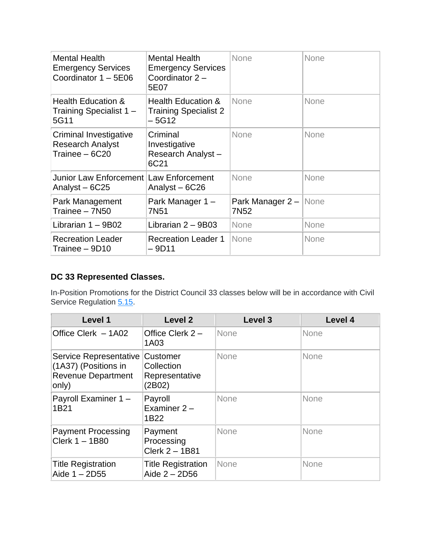| <b>Mental Health</b><br><b>Emergency Services</b><br>Coordinator 1 - 5E06 | <b>Mental Health</b><br><b>Emergency Services</b><br>Coordinator $2 -$<br>5E07 | <b>None</b>                               | None        |
|---------------------------------------------------------------------------|--------------------------------------------------------------------------------|-------------------------------------------|-------------|
| <b>Health Education &amp;</b><br>Training Specialist 1 -<br>5G11          | <b>Health Education &amp;</b><br><b>Training Specialist 2</b><br>$-5G12$       | <b>None</b>                               | None        |
| Criminal Investigative<br><b>Research Analyst</b><br>Trainee - 6C20       | Criminal<br>Investigative<br>Research Analyst-<br>6C21                         | None                                      | <b>None</b> |
| Junior Law Enforcement Law Enforcement<br>Analyst – 6C25                  | Analyst - 6C26                                                                 | None                                      | <b>None</b> |
| Park Management<br>Trainee - 7N50                                         | Park Manager 1 -<br>7N <sub>51</sub>                                           | Park Manager 2 – None<br>7N <sub>52</sub> |             |
| Librarian $1 - 9B02$                                                      | Librarian $2 - 9B03$                                                           | <b>None</b>                               | <b>None</b> |
| <b>Recreation Leader</b><br>Trainee - 9D10                                | <b>Recreation Leader 1</b><br>$-9D11$                                          | None                                      | <b>None</b> |

# **DC 33 Represented Classes.**

In-Position Promotions for the District Council 33 classes below will be in accordance with Civil Service Regulation [5.15.](https://personnel-web.phila.gov/csc/regulations.aspx?reg=5#reg.5.15)

| Level 1                                                                              | Level <sub>2</sub>                                        | Level 3     | Level 4 |
|--------------------------------------------------------------------------------------|-----------------------------------------------------------|-------------|---------|
| Office Clerk - 1A02                                                                  | Office Clerk $2 -$<br>1A03                                | <b>None</b> | None    |
| Service Representative<br>(1A37) (Positions in<br><b>Revenue Department</b><br>only) | <b>Customer</b><br>Collection<br>Representative<br>(2B02) | None        | None    |
| Payroll Examiner 1 -<br>1B21                                                         | Payroll<br>Examiner $2 -$<br>1B22                         | None        | None    |
| <b>Payment Processing</b><br>Clerk $1 - 1B80$                                        | Payment<br>Processing<br>Clerk 2 - 1B81                   | None        | None    |
| <b>Title Registration</b><br>Aide $1 - 2D55$                                         | <b>Title Registration</b><br>Aide $2 - 2D56$              | None        | None    |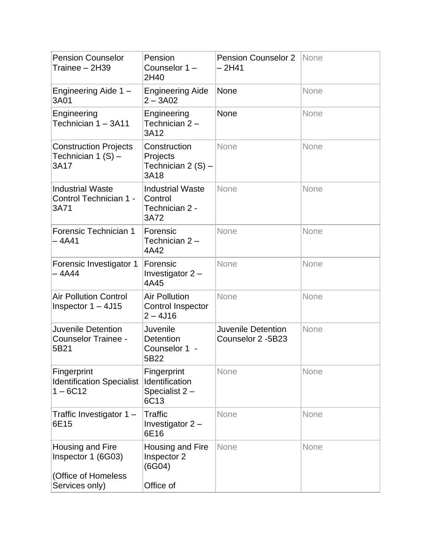| <b>Pension Counselor</b><br>Trainee - 2H39                                      | Pension<br>Counselor 1-<br>2H40                                | <b>Pension Counselor 2</b><br>- 2H41           | None |
|---------------------------------------------------------------------------------|----------------------------------------------------------------|------------------------------------------------|------|
| Engineering Aide 1 -<br>3A01                                                    | <b>Engineering Aide</b><br>$2 - 3A02$                          | <b>None</b>                                    | None |
| Engineering<br>Technician 1 - 3A11                                              | Engineering<br>Technician 2-<br>3A12                           | None                                           | None |
| <b>Construction Projects</b><br>Technician 1 $(S)$ –<br>3A17                    | Construction<br>Projects<br>Technician 2 $(S)$ –<br>3A18       | None                                           | None |
| <b>Industrial Waste</b><br>Control Technician 1 -<br>3A71                       | <b>Industrial Waste</b><br>Control<br>Technician 2 -<br>3A72   | None                                           | None |
| Forensic Technician 1<br>$-4A41$                                                | Forensic<br>Technician 2-<br>4A42                              | None                                           | None |
| Forensic Investigator 1<br>– 4A44                                               | Forensic<br>Investigator 2 -<br>4A45                           | None                                           | None |
| <b>Air Pollution Control</b><br>Inspector $1 - 4J15$                            | <b>Air Pollution</b><br><b>Control Inspector</b><br>$2 - 4J16$ | None                                           | None |
| Juvenile Detention<br><b>Counselor Trainee -</b><br>5B21                        | Juvenile<br><b>Detention</b><br>Counselor 1 -<br>5B22          | <b>Juvenile Detention</b><br>Counselor 2 -5B23 | None |
| Fingerprint<br><b>Identification Specialist</b><br>$1 - 6C12$                   | Fingerprint<br>Identification<br>Specialist 2-<br>6C13         | None                                           | None |
| Traffic Investigator $1 -$<br>6E15                                              | <b>Traffic</b><br>Investigator 2 -<br>6E16                     | None                                           | None |
| Housing and Fire<br>Inspector 1 (6G03)<br>(Office of Homeless<br>Services only) | Housing and Fire<br>Inspector 2<br>(6G04)<br>Office of         | None                                           | None |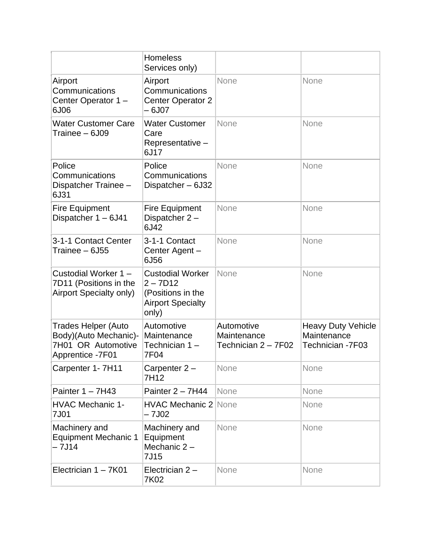|                                                                                               | <b>Homeless</b><br>Services only)                                                               |                                                  |                                                              |
|-----------------------------------------------------------------------------------------------|-------------------------------------------------------------------------------------------------|--------------------------------------------------|--------------------------------------------------------------|
| Airport<br>Communications<br>Center Operator 1-<br>6J06                                       | Airport<br>Communications<br><b>Center Operator 2</b><br>$-6J07$                                | None                                             | None                                                         |
| <b>Water Customer Care</b><br>Trainee - 6J09                                                  | <b>Water Customer</b><br>Care<br>Representative -<br>6J17                                       | None                                             | None                                                         |
| Police<br>Communications<br>Dispatcher Trainee -<br>6J31                                      | Police<br>Communications<br>Dispatcher - 6J32                                                   | None                                             | None                                                         |
| <b>Fire Equipment</b><br>Dispatcher 1 - 6J41                                                  | <b>Fire Equipment</b><br>Dispatcher 2-<br>6J42                                                  | None                                             | None                                                         |
| 3-1-1 Contact Center<br>Trainee - 6J55                                                        | 3-1-1 Contact<br>Center Agent -<br>6J56                                                         | None                                             | None                                                         |
| Custodial Worker 1-<br>7D11 (Positions in the<br>Airport Specialty only)                      | <b>Custodial Worker</b><br>$2 - 7D12$<br>(Positions in the<br><b>Airport Specialty</b><br>only) | None                                             | None                                                         |
| <b>Trades Helper (Auto</b><br>Body)(Auto Mechanic)-<br>7H01 OR Automotive<br>Apprentice -7F01 | Automotive<br>Maintenance<br>Technician 1-<br>7F04                                              | Automotive<br>Maintenance<br>Technician 2 - 7F02 | <b>Heavy Duty Vehicle</b><br>Maintenance<br>Technician -7F03 |
| Carpenter 1- 7H11                                                                             | Carpenter $2 -$<br>7H12                                                                         | None                                             | <b>None</b>                                                  |
| Painter $1 - 7H43$                                                                            | Painter $2 - 7H44$                                                                              | None                                             | None                                                         |
| <b>HVAC Mechanic 1-</b><br>7J01                                                               | <b>HVAC Mechanic 2 None</b><br>$-7J02$                                                          |                                                  | None                                                         |
| Machinery and<br><b>Equipment Mechanic 1</b><br>$-7J14$                                       | Machinery and<br>Equipment<br>Mechanic $2 -$<br>7J15                                            | None                                             | None                                                         |
| Electrician 1 - 7K01                                                                          | Electrician $2 -$<br>7K02                                                                       | None                                             | None                                                         |